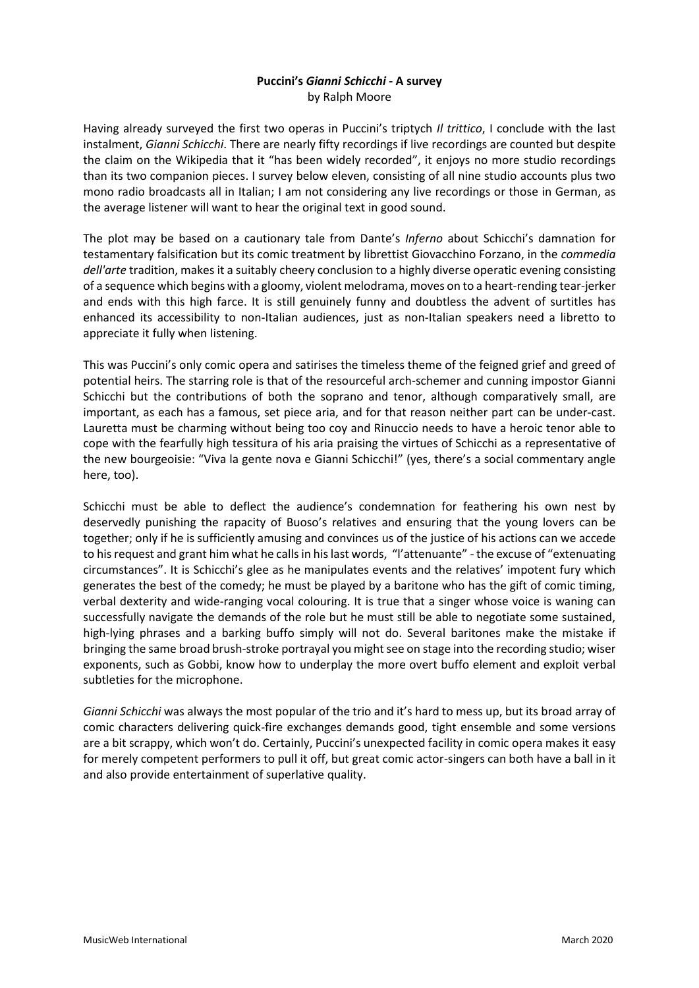## **Puccini's** *Gianni Schicchi* **- A survey** by Ralph Moore

Having already surveyed the first two operas in Puccini's triptych *Il trittico*, I conclude with the last instalment, *Gianni Schicchi*. There are nearly fifty recordings if live recordings are counted but despite the claim on the Wikipedia that it "has been widely recorded", it enjoys no more studio recordings than its two companion pieces. I survey below eleven, consisting of all nine studio accounts plus two mono radio broadcasts all in Italian; I am not considering any live recordings or those in German, as the average listener will want to hear the original text in good sound.

The plot may be based on a cautionary tale from Dante's *Inferno* about Schicchi's damnation for testamentary falsification but its comic treatment by librettist Giovacchino Forzano, in the *commedia dell'arte* tradition, makes it a suitably cheery conclusion to a highly diverse operatic evening consisting of a sequence which begins with a gloomy, violent melodrama, moves on to a heart-rending tear-jerker and ends with this high farce. It is still genuinely funny and doubtless the advent of surtitles has enhanced its accessibility to non-Italian audiences, just as non-Italian speakers need a libretto to appreciate it fully when listening.

This was Puccini's only comic opera and satirises the timeless theme of the feigned grief and greed of potential heirs. The starring role is that of the resourceful arch-schemer and cunning impostor Gianni Schicchi but the contributions of both the soprano and tenor, although comparatively small, are important, as each has a famous, set piece aria, and for that reason neither part can be under-cast. Lauretta must be charming without being too coy and Rinuccio needs to have a heroic tenor able to cope with the fearfully high tessitura of his aria praising the virtues of Schicchi as a representative of the new bourgeoisie: "Viva la gente nova e Gianni Schicchi!" (yes, there's a social commentary angle here, too).

Schicchi must be able to deflect the audience's condemnation for feathering his own nest by deservedly punishing the rapacity of Buoso's relatives and ensuring that the young lovers can be together; only if he is sufficiently amusing and convinces us of the justice of his actions can we accede to his request and grant him what he calls in his last words, "l'attenuante" - the excuse of "extenuating circumstances". It is Schicchi's glee as he manipulates events and the relatives' impotent fury which generates the best of the comedy; he must be played by a baritone who has the gift of comic timing, verbal dexterity and wide-ranging vocal colouring. It is true that a singer whose voice is waning can successfully navigate the demands of the role but he must still be able to negotiate some sustained, high-lying phrases and a barking buffo simply will not do. Several baritones make the mistake if bringing the same broad brush-stroke portrayal you might see on stage into the recording studio; wiser exponents, such as Gobbi, know how to underplay the more overt buffo element and exploit verbal subtleties for the microphone.

*Gianni Schicchi* was always the most popular of the trio and it's hard to mess up, but its broad array of comic characters delivering quick-fire exchanges demands good, tight ensemble and some versions are a bit scrappy, which won't do. Certainly, Puccini's unexpected facility in comic opera makes it easy for merely competent performers to pull it off, but great comic actor-singers can both have a ball in it and also provide entertainment of superlative quality.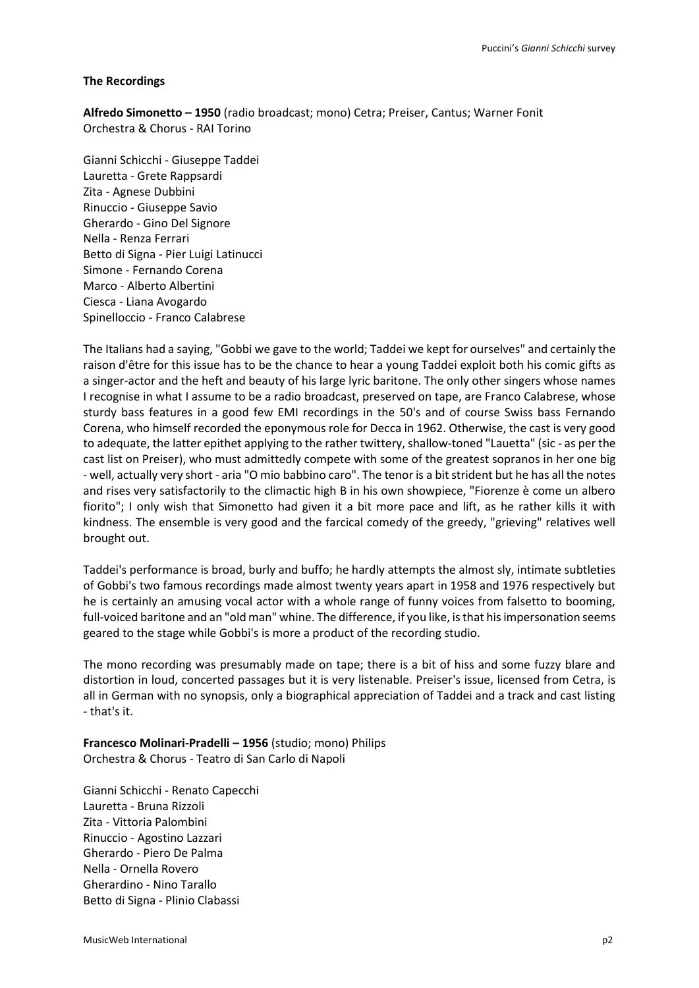## **The Recordings**

**Alfredo Simonetto – 1950** (radio broadcast; mono) Cetra; Preiser, Cantus; Warner Fonit Orchestra & Chorus - RAI Torino

Gianni Schicchi - Giuseppe Taddei Lauretta - Grete Rappsardi Zita - Agnese Dubbini Rinuccio - Giuseppe Savio Gherardo - Gino Del Signore Nella - Renza Ferrari Betto di Signa - Pier Luigi Latinucci Simone - Fernando Corena Marco - Alberto Albertini Ciesca - Liana Avogardo Spinelloccio - Franco Calabrese

The Italians had a saying, "Gobbi we gave to the world; Taddei we kept for ourselves" and certainly the raison d'être for this issue has to be the chance to hear a young Taddei exploit both his comic gifts as a singer-actor and the heft and beauty of his large lyric baritone. The only other singers whose names I recognise in what I assume to be a radio broadcast, preserved on tape, are Franco Calabrese, whose sturdy bass features in a good few EMI recordings in the 50's and of course Swiss bass Fernando Corena, who himself recorded the eponymous role for Decca in 1962. Otherwise, the cast is very good to adequate, the latter epithet applying to the rather twittery, shallow-toned "Lauetta" (sic - as per the cast list on Preiser), who must admittedly compete with some of the greatest sopranos in her one big - well, actually very short - aria "O mio babbino caro". The tenor is a bit strident but he has all the notes and rises very satisfactorily to the climactic high B in his own showpiece, "Fiorenze è come un albero fiorito"; I only wish that Simonetto had given it a bit more pace and lift, as he rather kills it with kindness. The ensemble is very good and the farcical comedy of the greedy, "grieving" relatives well brought out.

Taddei's performance is broad, burly and buffo; he hardly attempts the almost sly, intimate subtleties of Gobbi's two famous recordings made almost twenty years apart in 1958 and 1976 respectively but he is certainly an amusing vocal actor with a whole range of funny voices from falsetto to booming, full-voiced baritone and an "old man" whine. The difference, if you like, is that his impersonation seems geared to the stage while Gobbi's is more a product of the recording studio.

The mono recording was presumably made on tape; there is a bit of hiss and some fuzzy blare and distortion in loud, concerted passages but it is very listenable. Preiser's issue, licensed from Cetra, is all in German with no synopsis, only a biographical appreciation of Taddei and a track and cast listing - that's it.

**Francesco Molinari-Pradelli – 1956** (studio; mono) Philips Orchestra & Chorus - Teatro di San Carlo di Napoli

Gianni Schicchi - Renato Capecchi Lauretta - Bruna Rizzoli Zita - Vittoria Palombini Rinuccio - Agostino Lazzari Gherardo - Piero De Palma Nella - Ornella Rovero Gherardino - Nino Tarallo Betto di Signa - Plinio Clabassi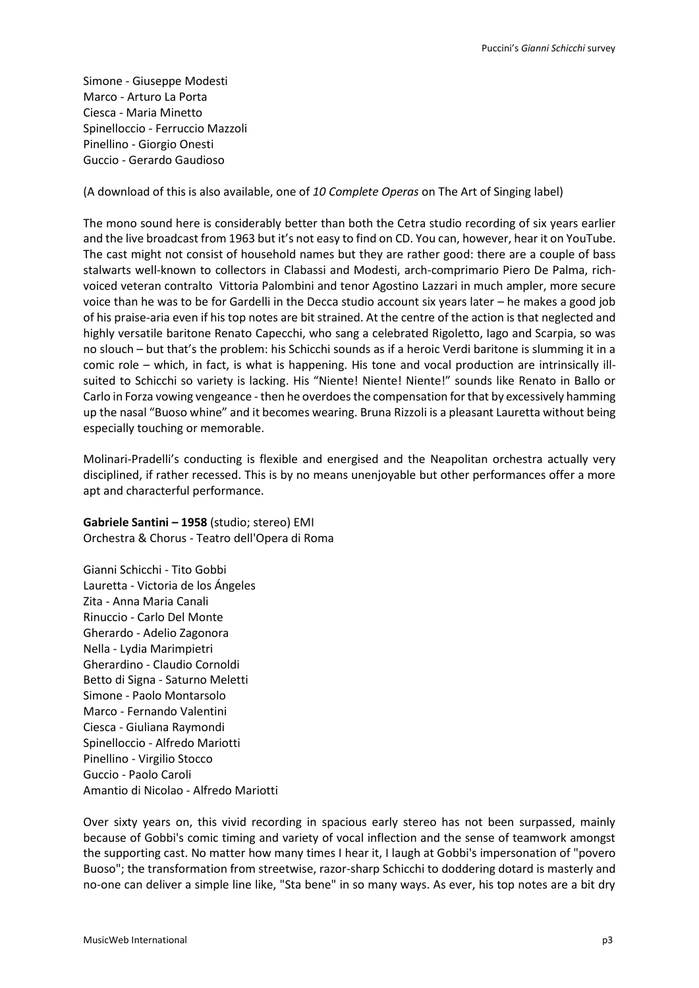Simone - Giuseppe Modesti Marco - Arturo La Porta Ciesca - Maria Minetto Spinelloccio - Ferruccio Mazzoli Pinellino - Giorgio Onesti Guccio - Gerardo Gaudioso

(A download of this is also available, one of *10 Complete Operas* on The Art of Singing label)

The mono sound here is considerably better than both the Cetra studio recording of six years earlier and the live broadcast from 1963 but it's not easy to find on CD. You can, however, hear it on YouTube. The cast might not consist of household names but they are rather good: there are a couple of bass stalwarts well-known to collectors in Clabassi and Modesti, arch-comprimario Piero De Palma, richvoiced veteran contralto Vittoria Palombini and tenor Agostino Lazzari in much ampler, more secure voice than he was to be for Gardelli in the Decca studio account six years later – he makes a good job of his praise-aria even if his top notes are bit strained. At the centre of the action is that neglected and highly versatile baritone Renato Capecchi, who sang a celebrated Rigoletto, Iago and Scarpia, so was no slouch – but that's the problem: his Schicchi sounds as if a heroic Verdi baritone is slumming it in a comic role – which, in fact, is what is happening. His tone and vocal production are intrinsically illsuited to Schicchi so variety is lacking. His "Niente! Niente! Niente!" sounds like Renato in Ballo or Carlo in Forza vowing vengeance - then he overdoes the compensation for that by excessively hamming up the nasal "Buoso whine" and it becomes wearing. Bruna Rizzoli is a pleasant Lauretta without being especially touching or memorable.

Molinari-Pradelli's conducting is flexible and energised and the Neapolitan orchestra actually very disciplined, if rather recessed. This is by no means unenjoyable but other performances offer a more apt and characterful performance.

**Gabriele Santini – 1958** (studio; stereo) EMI Orchestra & Chorus - Teatro dell'Opera di Roma

Gianni Schicchi - Tito Gobbi Lauretta - Victoria de los Ángeles Zita - Anna Maria Canali Rinuccio - Carlo Del Monte Gherardo - Adelio Zagonora Nella - Lydia Marimpietri Gherardino - Claudio Cornoldi Betto di Signa - Saturno Meletti Simone - Paolo Montarsolo Marco - Fernando Valentini Ciesca - Giuliana Raymondi Spinelloccio - Alfredo Mariotti Pinellino - Virgilio Stocco Guccio - Paolo Caroli Amantio di Nicolao - Alfredo Mariotti

Over sixty years on, this vivid recording in spacious early stereo has not been surpassed, mainly because of Gobbi's comic timing and variety of vocal inflection and the sense of teamwork amongst the supporting cast. No matter how many times I hear it, I laugh at Gobbi's impersonation of "povero Buoso"; the transformation from streetwise, razor-sharp Schicchi to doddering dotard is masterly and no-one can deliver a simple line like, "Sta bene" in so many ways. As ever, his top notes are a bit dry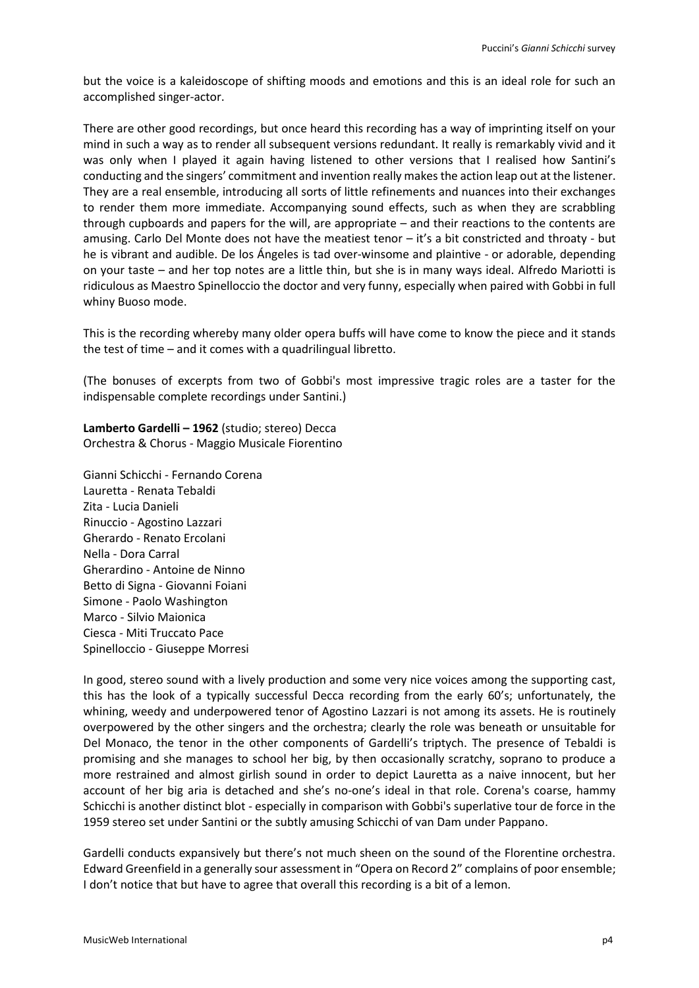but the voice is a kaleidoscope of shifting moods and emotions and this is an ideal role for such an accomplished singer-actor.

There are other good recordings, but once heard this recording has a way of imprinting itself on your mind in such a way as to render all subsequent versions redundant. It really is remarkably vivid and it was only when I played it again having listened to other versions that I realised how Santini's conducting and the singers' commitment and invention really makes the action leap out at the listener. They are a real ensemble, introducing all sorts of little refinements and nuances into their exchanges to render them more immediate. Accompanying sound effects, such as when they are scrabbling through cupboards and papers for the will, are appropriate – and their reactions to the contents are amusing. Carlo Del Monte does not have the meatiest tenor – it's a bit constricted and throaty - but he is vibrant and audible. De los Ángeles is tad over-winsome and plaintive - or adorable, depending on your taste – and her top notes are a little thin, but she is in many ways ideal. Alfredo Mariotti is ridiculous as Maestro Spinelloccio the doctor and very funny, especially when paired with Gobbi in full whiny Buoso mode.

This is the recording whereby many older opera buffs will have come to know the piece and it stands the test of time – and it comes with a quadrilingual libretto.

(The bonuses of excerpts from two of Gobbi's most impressive tragic roles are a taster for the indispensable complete recordings under Santini.)

**Lamberto Gardelli – 1962** (studio; stereo) Decca Orchestra & Chorus - Maggio Musicale Fiorentino

Gianni Schicchi - Fernando Corena Lauretta - Renata Tebaldi Zita - Lucia Danieli Rinuccio - Agostino Lazzari Gherardo - Renato Ercolani Nella - Dora Carral Gherardino - Antoine de Ninno Betto di Signa - Giovanni Foiani Simone - Paolo Washington Marco - Silvio Maionica Ciesca - Miti Truccato Pace Spinelloccio - Giuseppe Morresi

In good, stereo sound with a lively production and some very nice voices among the supporting cast, this has the look of a typically successful Decca recording from the early 60's; unfortunately, the whining, weedy and underpowered tenor of Agostino Lazzari is not among its assets. He is routinely overpowered by the other singers and the orchestra; clearly the role was beneath or unsuitable for Del Monaco, the tenor in the other components of Gardelli's triptych. The presence of Tebaldi is promising and she manages to school her big, by then occasionally scratchy, soprano to produce a more restrained and almost girlish sound in order to depict Lauretta as a naive innocent, but her account of her big aria is detached and she's no-one's ideal in that role. Corena's coarse, hammy Schicchi is another distinct blot - especially in comparison with Gobbi's superlative tour de force in the 1959 stereo set under Santini or the subtly amusing Schicchi of van Dam under Pappano.

Gardelli conducts expansively but there's not much sheen on the sound of the Florentine orchestra. Edward Greenfield in a generally sour assessment in "Opera on Record 2" complains of poor ensemble; I don't notice that but have to agree that overall this recording is a bit of a lemon.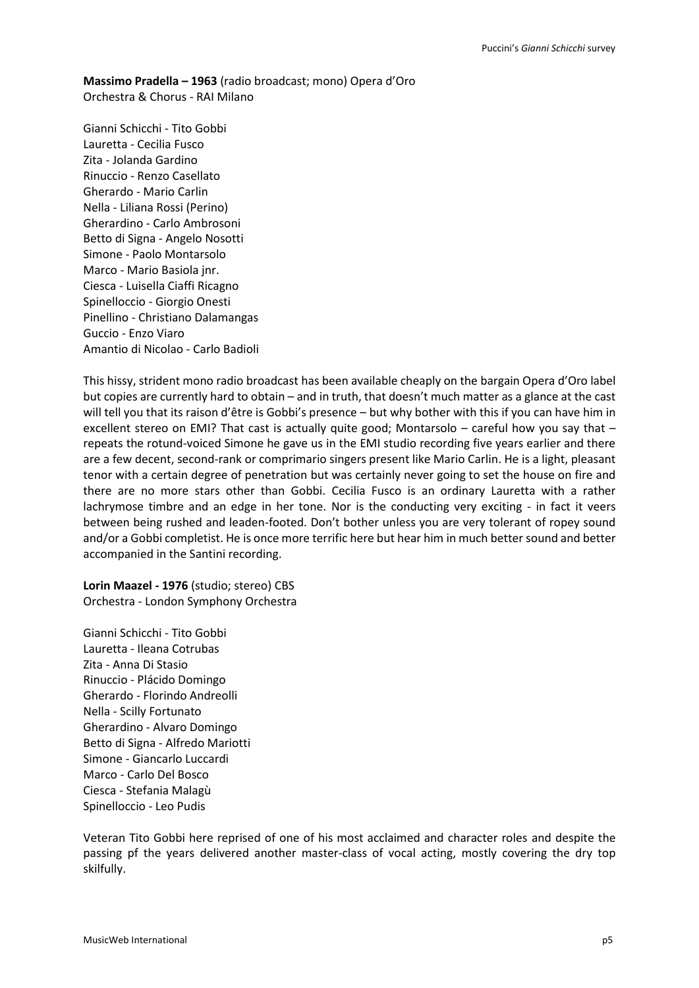**Massimo Pradella – 1963** (radio broadcast; mono) Opera d'Oro Orchestra & Chorus - RAI Milano

Gianni Schicchi - Tito Gobbi Lauretta - Cecilia Fusco Zita - Jolanda Gardino Rinuccio - Renzo Casellato Gherardo - Mario Carlin Nella - Liliana Rossi (Perino) Gherardino - Carlo Ambrosoni Betto di Signa - Angelo Nosotti Simone - Paolo Montarsolo Marco - Mario Basiola jnr. Ciesca - Luisella Ciaffi Ricagno Spinelloccio - Giorgio Onesti Pinellino - Christiano Dalamangas Guccio - Enzo Viaro Amantio di Nicolao - Carlo Badioli

This hissy, strident mono radio broadcast has been available cheaply on the bargain Opera d'Oro label but copies are currently hard to obtain – and in truth, that doesn't much matter as a glance at the cast will tell you that its raison d'être is Gobbi's presence – but why bother with this if you can have him in excellent stereo on EMI? That cast is actually quite good; Montarsolo – careful how you say that – repeats the rotund-voiced Simone he gave us in the EMI studio recording five years earlier and there are a few decent, second-rank or comprimario singers present like Mario Carlin. He is a light, pleasant tenor with a certain degree of penetration but was certainly never going to set the house on fire and there are no more stars other than Gobbi. Cecilia Fusco is an ordinary Lauretta with a rather lachrymose timbre and an edge in her tone. Nor is the conducting very exciting - in fact it veers between being rushed and leaden-footed. Don't bother unless you are very tolerant of ropey sound and/or a Gobbi completist. He is once more terrific here but hear him in much better sound and better accompanied in the Santini recording.

**Lorin Maazel - 1976** (studio; stereo) CBS Orchestra - London Symphony Orchestra

Gianni Schicchi - Tito Gobbi Lauretta - Ileana Cotrubas Zita - Anna Di Stasio Rinuccio - Plácido Domingo Gherardo - Florindo Andreolli Nella - Scilly Fortunato Gherardino - Alvaro Domingo Betto di Signa - Alfredo Mariotti Simone - Giancarlo Luccardi Marco - Carlo Del Bosco Ciesca - Stefania Malagù Spinelloccio - Leo Pudis

Veteran Tito Gobbi here reprised of one of his most acclaimed and character roles and despite the passing pf the years delivered another master-class of vocal acting, mostly covering the dry top skilfully.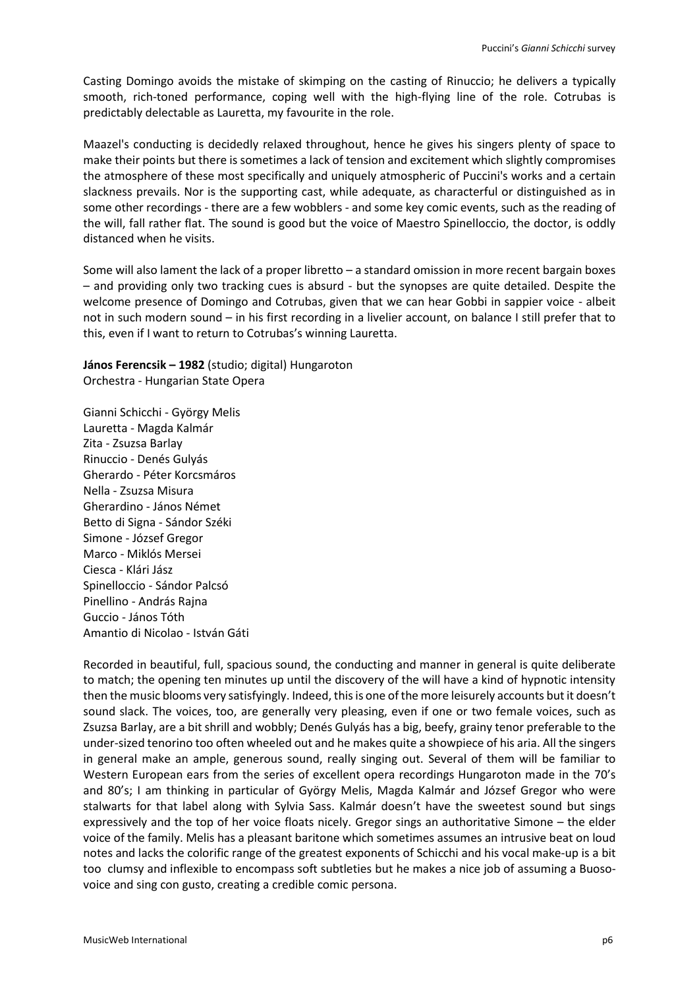Casting Domingo avoids the mistake of skimping on the casting of Rinuccio; he delivers a typically smooth, rich-toned performance, coping well with the high-flying line of the role. Cotrubas is predictably delectable as Lauretta, my favourite in the role.

Maazel's conducting is decidedly relaxed throughout, hence he gives his singers plenty of space to make their points but there is sometimes a lack of tension and excitement which slightly compromises the atmosphere of these most specifically and uniquely atmospheric of Puccini's works and a certain slackness prevails. Nor is the supporting cast, while adequate, as characterful or distinguished as in some other recordings - there are a few wobblers - and some key comic events, such as the reading of the will, fall rather flat. The sound is good but the voice of Maestro Spinelloccio, the doctor, is oddly distanced when he visits.

Some will also lament the lack of a proper libretto – a standard omission in more recent bargain boxes – and providing only two tracking cues is absurd - but the synopses are quite detailed. Despite the welcome presence of Domingo and Cotrubas, given that we can hear Gobbi in sappier voice - albeit not in such modern sound – in his first recording in a livelier account, on balance I still prefer that to this, even if I want to return to Cotrubas's winning Lauretta.

**János Ferencsik – 1982** (studio; digital) Hungaroton Orchestra - Hungarian State Opera

Gianni Schicchi - György Melis Lauretta - Magda Kalmár Zita - Zsuzsa Barlay Rinuccio - Denés Gulyás Gherardo - Péter Korcsmáros Nella - Zsuzsa Misura Gherardino - János Német Betto di Signa - Sándor Széki Simone - József Gregor Marco - Miklós Mersei Ciesca - Klári Jász Spinelloccio - Sándor Palcsó Pinellino - András Rajna Guccio - János Tóth Amantio di Nicolao - István Gáti

Recorded in beautiful, full, spacious sound, the conducting and manner in general is quite deliberate to match; the opening ten minutes up until the discovery of the will have a kind of hypnotic intensity then the music blooms very satisfyingly. Indeed, this is one of the more leisurely accounts but it doesn't sound slack. The voices, too, are generally very pleasing, even if one or two female voices, such as Zsuzsa Barlay, are a bit shrill and wobbly; Denés Gulyás has a big, beefy, grainy tenor preferable to the under-sized tenorino too often wheeled out and he makes quite a showpiece of his aria. All the singers in general make an ample, generous sound, really singing out. Several of them will be familiar to Western European ears from the series of excellent opera recordings Hungaroton made in the 70's and 80's; I am thinking in particular of György Melis, Magda Kalmár and József Gregor who were stalwarts for that label along with Sylvia Sass. Kalmár doesn't have the sweetest sound but sings expressively and the top of her voice floats nicely. Gregor sings an authoritative Simone – the elder voice of the family. Melis has a pleasant baritone which sometimes assumes an intrusive beat on loud notes and lacks the colorific range of the greatest exponents of Schicchi and his vocal make-up is a bit too clumsy and inflexible to encompass soft subtleties but he makes a nice job of assuming a Buosovoice and sing con gusto, creating a credible comic persona.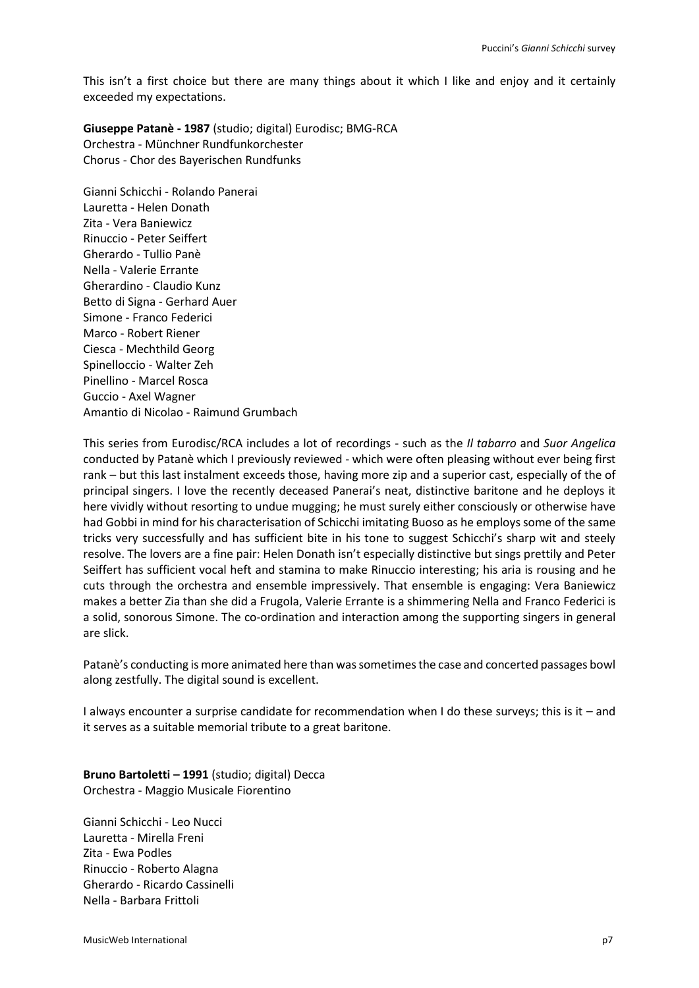This isn't a first choice but there are many things about it which I like and enjoy and it certainly exceeded my expectations.

**Giuseppe Patanè - 1987** (studio; digital) Eurodisc; BMG-RCA Orchestra - Münchner Rundfunkorchester Chorus - Chor des Bayerischen Rundfunks

Gianni Schicchi - Rolando Panerai Lauretta - Helen Donath Zita - Vera Baniewicz Rinuccio - Peter Seiffert Gherardo - Tullio Panè Nella - Valerie Errante Gherardino - Claudio Kunz Betto di Signa - Gerhard Auer Simone - Franco Federici Marco - Robert Riener Ciesca - Mechthild Georg Spinelloccio - Walter Zeh Pinellino - Marcel Rosca Guccio - Axel Wagner Amantio di Nicolao - Raimund Grumbach

This series from Eurodisc/RCA includes a lot of recordings - such as the *Il tabarro* and *Suor Angelica* conducted by Patanè which I previously reviewed - which were often pleasing without ever being first rank – but this last instalment exceeds those, having more zip and a superior cast, especially of the of principal singers. I love the recently deceased Panerai's neat, distinctive baritone and he deploys it here vividly without resorting to undue mugging; he must surely either consciously or otherwise have had Gobbi in mind for his characterisation of Schicchi imitating Buoso as he employs some of the same tricks very successfully and has sufficient bite in his tone to suggest Schicchi's sharp wit and steely resolve. The lovers are a fine pair: Helen Donath isn't especially distinctive but sings prettily and Peter Seiffert has sufficient vocal heft and stamina to make Rinuccio interesting; his aria is rousing and he cuts through the orchestra and ensemble impressively. That ensemble is engaging: Vera Baniewicz makes a better Zia than she did a Frugola, Valerie Errante is a shimmering Nella and Franco Federici is a solid, sonorous Simone. The co-ordination and interaction among the supporting singers in general are slick.

Patanè's conducting is more animated here than was sometimes the case and concerted passages bowl along zestfully. The digital sound is excellent.

I always encounter a surprise candidate for recommendation when I do these surveys; this is it – and it serves as a suitable memorial tribute to a great baritone.

**Bruno Bartoletti – 1991** (studio; digital) Decca Orchestra - Maggio Musicale Fiorentino

Gianni Schicchi - Leo Nucci Lauretta - Mirella Freni Zita - Ewa Podles Rinuccio - Roberto Alagna Gherardo - Ricardo Cassinelli Nella - Barbara Frittoli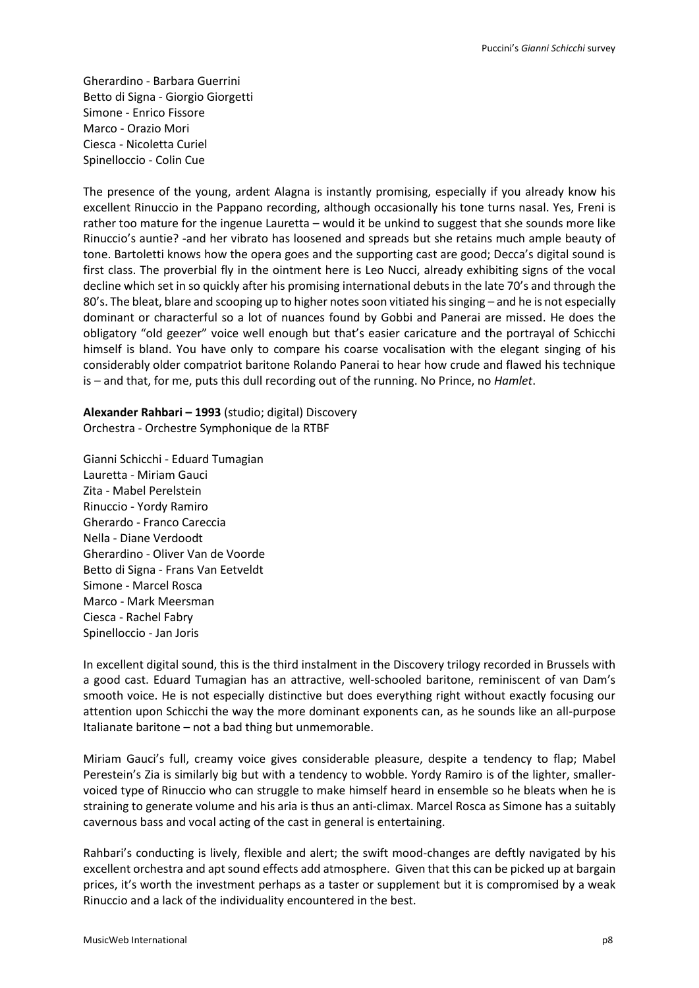Gherardino - Barbara Guerrini Betto di Signa - Giorgio Giorgetti Simone - Enrico Fissore Marco - Orazio Mori Ciesca - Nicoletta Curiel Spinelloccio - Colin Cue

The presence of the young, ardent Alagna is instantly promising, especially if you already know his excellent Rinuccio in the Pappano recording, although occasionally his tone turns nasal. Yes, Freni is rather too mature for the ingenue Lauretta – would it be unkind to suggest that she sounds more like Rinuccio's auntie? -and her vibrato has loosened and spreads but she retains much ample beauty of tone. Bartoletti knows how the opera goes and the supporting cast are good; Decca's digital sound is first class. The proverbial fly in the ointment here is Leo Nucci, already exhibiting signs of the vocal decline which set in so quickly after his promising international debuts in the late 70's and through the 80's. The bleat, blare and scooping up to higher notes soon vitiated his singing – and he is not especially dominant or characterful so a lot of nuances found by Gobbi and Panerai are missed. He does the obligatory "old geezer" voice well enough but that's easier caricature and the portrayal of Schicchi himself is bland. You have only to compare his coarse vocalisation with the elegant singing of his considerably older compatriot baritone Rolando Panerai to hear how crude and flawed his technique is – and that, for me, puts this dull recording out of the running. No Prince, no *Hamlet*.

**Alexander Rahbari – 1993** (studio; digital) Discovery Orchestra - Orchestre Symphonique de la RTBF

Gianni Schicchi - Eduard Tumagian Lauretta - Miriam Gauci Zita - Mabel Perelstein Rinuccio - Yordy Ramiro Gherardo - Franco Careccia Nella - Diane Verdoodt Gherardino - Oliver Van de Voorde Betto di Signa - Frans Van Eetveldt Simone - Marcel Rosca Marco - Mark Meersman Ciesca - Rachel Fabry Spinelloccio - Jan Joris

In excellent digital sound, this is the third instalment in the Discovery trilogy recorded in Brussels with a good cast. Eduard Tumagian has an attractive, well-schooled baritone, reminiscent of van Dam's smooth voice. He is not especially distinctive but does everything right without exactly focusing our attention upon Schicchi the way the more dominant exponents can, as he sounds like an all-purpose Italianate baritone – not a bad thing but unmemorable.

Miriam Gauci's full, creamy voice gives considerable pleasure, despite a tendency to flap; Mabel Perestein's Zia is similarly big but with a tendency to wobble. Yordy Ramiro is of the lighter, smallervoiced type of Rinuccio who can struggle to make himself heard in ensemble so he bleats when he is straining to generate volume and his aria is thus an anti-climax. Marcel Rosca as Simone has a suitably cavernous bass and vocal acting of the cast in general is entertaining.

Rahbari's conducting is lively, flexible and alert; the swift mood-changes are deftly navigated by his excellent orchestra and apt sound effects add atmosphere. Given that this can be picked up at bargain prices, it's worth the investment perhaps as a taster or supplement but it is compromised by a weak Rinuccio and a lack of the individuality encountered in the best.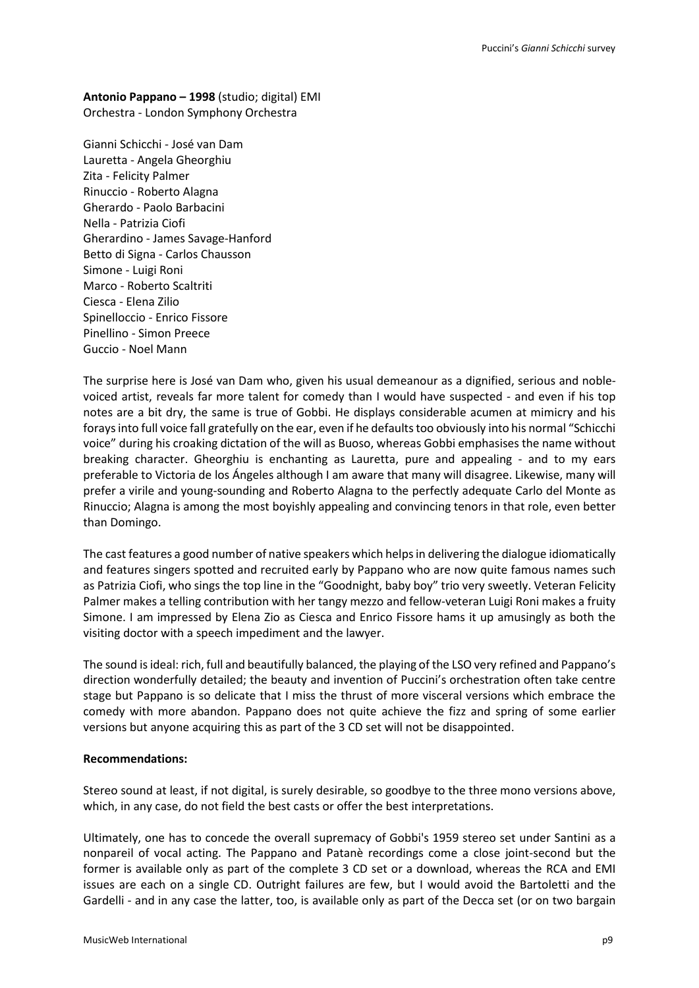## **Antonio Pappano – 1998** (studio; digital) EMI Orchestra - London Symphony Orchestra

Gianni Schicchi - José van Dam Lauretta - Angela Gheorghiu Zita - Felicity Palmer Rinuccio - Roberto Alagna Gherardo - Paolo Barbacini Nella - Patrizia Ciofi Gherardino - James Savage-Hanford Betto di Signa - Carlos Chausson Simone - Luigi Roni Marco - Roberto Scaltriti Ciesca - Elena Zilio Spinelloccio - Enrico Fissore Pinellino - Simon Preece Guccio - Noel Mann

The surprise here is José van Dam who, given his usual demeanour as a dignified, serious and noblevoiced artist, reveals far more talent for comedy than I would have suspected - and even if his top notes are a bit dry, the same is true of Gobbi. He displays considerable acumen at mimicry and his forays into full voice fall gratefully on the ear, even if he defaults too obviously into his normal "Schicchi voice" during his croaking dictation of the will as Buoso, whereas Gobbi emphasises the name without breaking character. Gheorghiu is enchanting as Lauretta, pure and appealing - and to my ears preferable to Victoria de los Ángeles although I am aware that many will disagree. Likewise, many will prefer a virile and young-sounding and Roberto Alagna to the perfectly adequate Carlo del Monte as Rinuccio; Alagna is among the most boyishly appealing and convincing tenors in that role, even better than Domingo.

The cast features a good number of native speakers which helps in delivering the dialogue idiomatically and features singers spotted and recruited early by Pappano who are now quite famous names such as Patrizia Ciofi, who sings the top line in the "Goodnight, baby boy" trio very sweetly. Veteran Felicity Palmer makes a telling contribution with her tangy mezzo and fellow-veteran Luigi Roni makes a fruity Simone. I am impressed by Elena Zio as Ciesca and Enrico Fissore hams it up amusingly as both the visiting doctor with a speech impediment and the lawyer.

The sound is ideal: rich, full and beautifully balanced, the playing of the LSO very refined and Pappano's direction wonderfully detailed; the beauty and invention of Puccini's orchestration often take centre stage but Pappano is so delicate that I miss the thrust of more visceral versions which embrace the comedy with more abandon. Pappano does not quite achieve the fizz and spring of some earlier versions but anyone acquiring this as part of the 3 CD set will not be disappointed.

## **Recommendations:**

Stereo sound at least, if not digital, is surely desirable, so goodbye to the three mono versions above, which, in any case, do not field the best casts or offer the best interpretations.

Ultimately, one has to concede the overall supremacy of Gobbi's 1959 stereo set under Santini as a nonpareil of vocal acting. The Pappano and Patanè recordings come a close joint-second but the former is available only as part of the complete 3 CD set or a download, whereas the RCA and EMI issues are each on a single CD. Outright failures are few, but I would avoid the Bartoletti and the Gardelli - and in any case the latter, too, is available only as part of the Decca set (or on two bargain